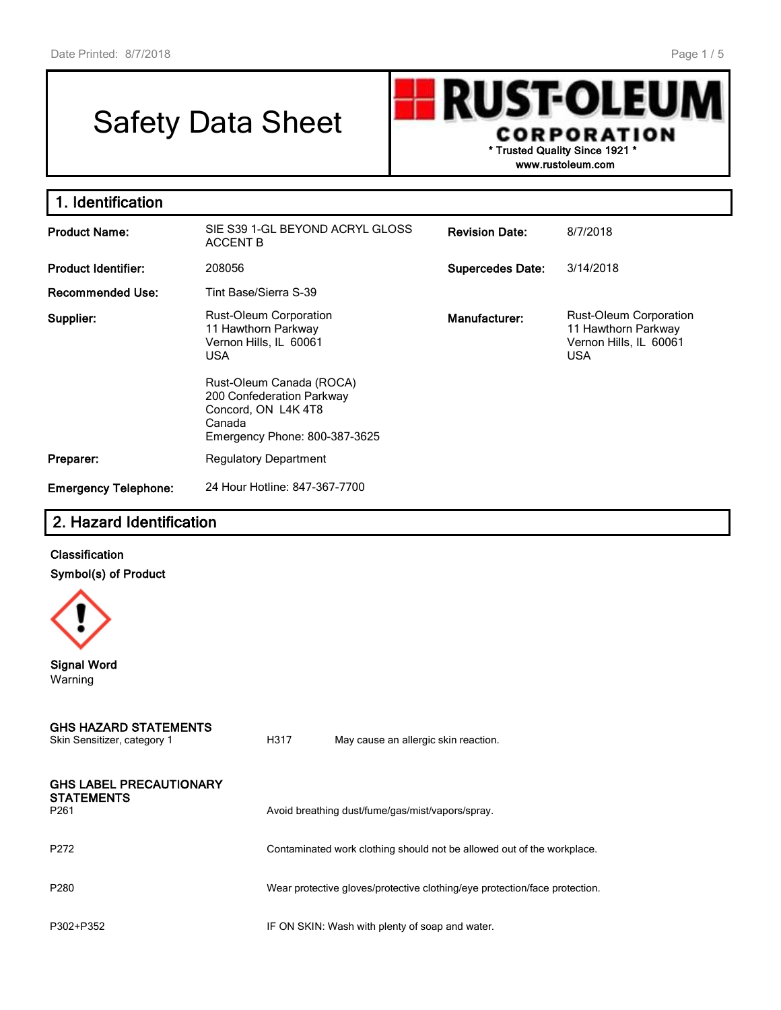# Safety Data Sheet

**UST-OLEU** R CORPORATION **\* Trusted Quality Since 1921 \***

**www.rustoleum.com**

| 1. Identification           |                                                                                                                        |                         |                                                                                       |
|-----------------------------|------------------------------------------------------------------------------------------------------------------------|-------------------------|---------------------------------------------------------------------------------------|
| <b>Product Name:</b>        | SIE S39 1-GL BEYOND ACRYL GLOSS<br><b>ACCENT B</b>                                                                     | <b>Revision Date:</b>   | 8/7/2018                                                                              |
| <b>Product Identifier:</b>  | 208056                                                                                                                 | <b>Supercedes Date:</b> | 3/14/2018                                                                             |
| <b>Recommended Use:</b>     | Tint Base/Sierra S-39                                                                                                  |                         |                                                                                       |
| Supplier:                   | <b>Rust-Oleum Corporation</b><br>11 Hawthorn Parkway<br>Vernon Hills, IL 60061<br><b>USA</b>                           | Manufacturer:           | Rust-Oleum Corporation<br>11 Hawthorn Parkway<br>Vernon Hills, IL 60061<br><b>USA</b> |
|                             | Rust-Oleum Canada (ROCA)<br>200 Confederation Parkway<br>Concord, ON L4K4T8<br>Canada<br>Emergency Phone: 800-387-3625 |                         |                                                                                       |
| Preparer:                   | <b>Regulatory Department</b>                                                                                           |                         |                                                                                       |
| <b>Emergency Telephone:</b> | 24 Hour Hotline: 847-367-7700                                                                                          |                         |                                                                                       |

# **2. Hazard Identification**

# **Classification Symbol(s) of Product**



**Signal Word** Warning

#### **GHS HAZARD STATEMENTS** Skin Sensitizer, category 1 **H317** May cause an allergic skin reaction.

| <b>GHS LABEL PRECAUTIONARY</b> |  |  |
|--------------------------------|--|--|
| <b>STATEMENTS</b>              |  |  |

P261 **Avoid breathing dust/fume/gas/mist/vapors/spray.** Avoid breathing dust/fume/gas/mist/vapors/spray.

P272 **Example 2018** Contaminated work clothing should not be allowed out of the workplace.

P280 Wear protective gloves/protective clothing/eye protection/face protection.

P302+P352 IF ON SKIN: Wash with plenty of soap and water.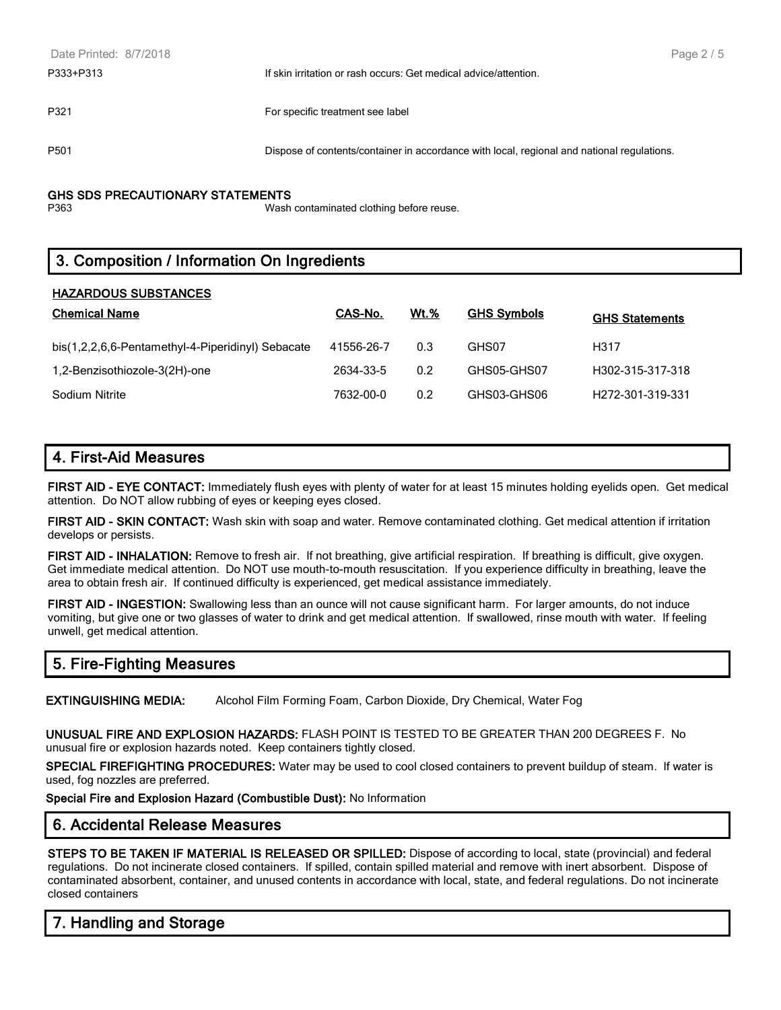| Date Printed: 8/7/2018 |                                                                                            | Page 2 / 5 |
|------------------------|--------------------------------------------------------------------------------------------|------------|
| P333+P313              | If skin irritation or rash occurs: Get medical advice/attention.                           |            |
| P321                   | For specific treatment see label                                                           |            |
| P <sub>501</sub>       | Dispose of contents/container in accordance with local, regional and national regulations. |            |
|                        |                                                                                            |            |

#### **GHS SDS PRECAUTIONARY STATEMENTS**

P363 Wash contaminated clothing before reuse.

# **3. Composition / Information On Ingredients**

## **HAZARDOUS SUBSTANCES**

| <b>Chemical Name</b>                              | CAS-No.    | <b>Wt.%</b> | <b>GHS Symbols</b> | <b>GHS Statements</b>         |
|---------------------------------------------------|------------|-------------|--------------------|-------------------------------|
| bis(1,2,2,6,6-Pentamethyl-4-Piperidinyl) Sebacate | 41556-26-7 | 0.3         | GHS07              | H317                          |
| 1,2-Benzisothiozole-3(2H)-one                     | 2634-33-5  | 0.2         | GHS05-GHS07        | H302-315-317-318              |
| Sodium Nitrite                                    | 7632-00-0  | 0.2         | GHS03-GHS06        | H <sub>272</sub> -301-319-331 |

# **4. First-Aid Measures**

**FIRST AID - EYE CONTACT:** Immediately flush eyes with plenty of water for at least 15 minutes holding eyelids open. Get medical attention. Do NOT allow rubbing of eyes or keeping eyes closed.

**FIRST AID - SKIN CONTACT:** Wash skin with soap and water. Remove contaminated clothing. Get medical attention if irritation develops or persists.

**FIRST AID - INHALATION:** Remove to fresh air. If not breathing, give artificial respiration. If breathing is difficult, give oxygen. Get immediate medical attention. Do NOT use mouth-to-mouth resuscitation. If you experience difficulty in breathing, leave the area to obtain fresh air. If continued difficulty is experienced, get medical assistance immediately.

**FIRST AID - INGESTION:** Swallowing less than an ounce will not cause significant harm. For larger amounts, do not induce vomiting, but give one or two glasses of water to drink and get medical attention. If swallowed, rinse mouth with water. If feeling unwell, get medical attention.

# **5. Fire-Fighting Measures**

**EXTINGUISHING MEDIA:** Alcohol Film Forming Foam, Carbon Dioxide, Dry Chemical, Water Fog

**UNUSUAL FIRE AND EXPLOSION HAZARDS:** FLASH POINT IS TESTED TO BE GREATER THAN 200 DEGREES F. No unusual fire or explosion hazards noted. Keep containers tightly closed.

**SPECIAL FIREFIGHTING PROCEDURES:** Water may be used to cool closed containers to prevent buildup of steam. If water is used, fog nozzles are preferred.

**Special Fire and Explosion Hazard (Combustible Dust):** No Information

## **6. Accidental Release Measures**

**STEPS TO BE TAKEN IF MATERIAL IS RELEASED OR SPILLED:** Dispose of according to local, state (provincial) and federal regulations. Do not incinerate closed containers. If spilled, contain spilled material and remove with inert absorbent. Dispose of contaminated absorbent, container, and unused contents in accordance with local, state, and federal regulations. Do not incinerate closed containers

# **7. Handling and Storage**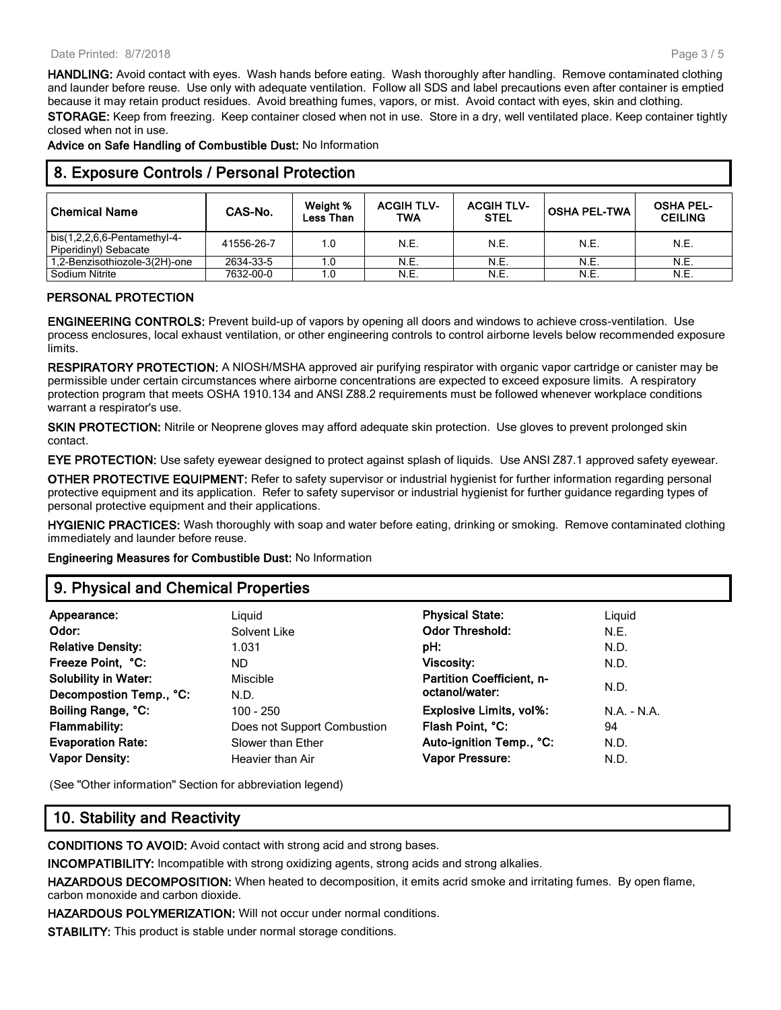#### Date Printed: 8/7/2018

**HANDLING:** Avoid contact with eyes. Wash hands before eating. Wash thoroughly after handling. Remove contaminated clothing and launder before reuse. Use only with adequate ventilation. Follow all SDS and label precautions even after container is emptied because it may retain product residues. Avoid breathing fumes, vapors, or mist. Avoid contact with eyes, skin and clothing.

**STORAGE:** Keep from freezing. Keep container closed when not in use. Store in a dry, well ventilated place. Keep container tightly closed when not in use.

**Advice on Safe Handling of Combustible Dust:** No Information

# **8. Exposure Controls / Personal Protection**

| <b>Chemical Name</b>                                  | CAS-No.    | Weight %<br>Less Than | <b>ACGIH TLV-</b><br>TWA | <b>ACGIH TLV-</b><br><b>STEL</b> | <b>OSHA PEL-TWA</b> | <b>OSHA PEL-</b><br><b>CEILING</b> |
|-------------------------------------------------------|------------|-----------------------|--------------------------|----------------------------------|---------------------|------------------------------------|
| bis(1,2,2,6,6-Pentamethyl-4-<br>Piperidinyl) Sebacate | 41556-26-7 | 1.0                   | N.E.                     | N.E.                             | N.E.                | N.E.                               |
| 1,2-Benzisothiozole-3(2H)-one                         | 2634-33-5  | 1.0                   | N.E.                     | N.E.                             | N.E.                | N.E.                               |
| Sodium Nitrite                                        | 7632-00-0  | 1.0                   | N.E.                     | <b>N.E.</b>                      | N.E.                | N.E.                               |

## **PERSONAL PROTECTION**

**ENGINEERING CONTROLS:** Prevent build-up of vapors by opening all doors and windows to achieve cross-ventilation. Use process enclosures, local exhaust ventilation, or other engineering controls to control airborne levels below recommended exposure limits.

**RESPIRATORY PROTECTION:** A NIOSH/MSHA approved air purifying respirator with organic vapor cartridge or canister may be permissible under certain circumstances where airborne concentrations are expected to exceed exposure limits. A respiratory protection program that meets OSHA 1910.134 and ANSI Z88.2 requirements must be followed whenever workplace conditions warrant a respirator's use.

**SKIN PROTECTION:** Nitrile or Neoprene gloves may afford adequate skin protection. Use gloves to prevent prolonged skin contact.

**EYE PROTECTION:** Use safety eyewear designed to protect against splash of liquids. Use ANSI Z87.1 approved safety eyewear.

**OTHER PROTECTIVE EQUIPMENT:** Refer to safety supervisor or industrial hygienist for further information regarding personal protective equipment and its application. Refer to safety supervisor or industrial hygienist for further guidance regarding types of personal protective equipment and their applications.

**HYGIENIC PRACTICES:** Wash thoroughly with soap and water before eating, drinking or smoking. Remove contaminated clothing immediately and launder before reuse.

**Engineering Measures for Combustible Dust:** No Information

## **9. Physical and Chemical Properties**

| Appearance:                 | Liguid                      | <b>Physical State:</b>           | Liquid     |
|-----------------------------|-----------------------------|----------------------------------|------------|
| Odor:                       | Solvent Like                | <b>Odor Threshold:</b>           | N.E.       |
| <b>Relative Density:</b>    | 1.031                       | pH:                              | N.D.       |
| Freeze Point, °C:           | ND.                         | Viscosity:                       | N.D.       |
| <b>Solubility in Water:</b> | Miscible                    | <b>Partition Coefficient, n-</b> |            |
| Decompostion Temp., °C:     | N.D.                        | octanol/water:                   | N.D.       |
| Boiling Range, °C:          | $100 - 250$                 | <b>Explosive Limits, vol%:</b>   | $NA - N.A$ |
| <b>Flammability:</b>        | Does not Support Combustion | Flash Point, °C:                 | 94         |
| <b>Evaporation Rate:</b>    | Slower than Ether           | Auto-ignition Temp., °C:         | N.D.       |
| <b>Vapor Density:</b>       | Heavier than Air            | Vapor Pressure:                  | N.D.       |
|                             |                             |                                  |            |

(See "Other information" Section for abbreviation legend)

## **10. Stability and Reactivity**

**CONDITIONS TO AVOID:** Avoid contact with strong acid and strong bases.

**INCOMPATIBILITY:** Incompatible with strong oxidizing agents, strong acids and strong alkalies.

**HAZARDOUS DECOMPOSITION:** When heated to decomposition, it emits acrid smoke and irritating fumes. By open flame, carbon monoxide and carbon dioxide.

**HAZARDOUS POLYMERIZATION:** Will not occur under normal conditions.

**STABILITY:** This product is stable under normal storage conditions.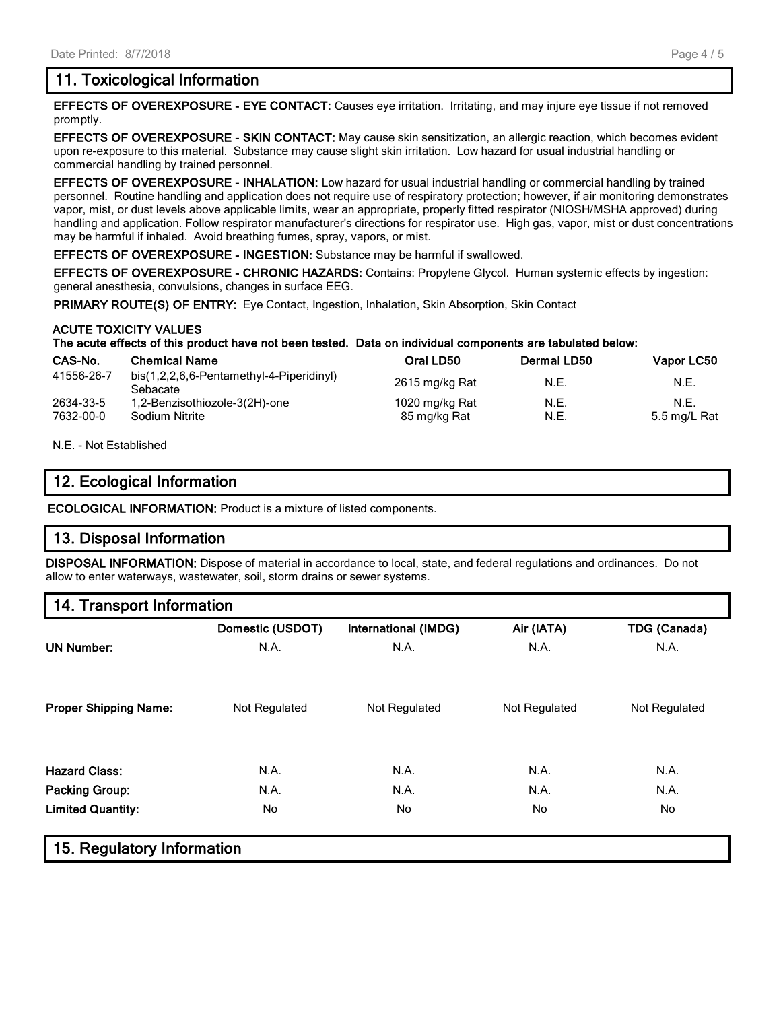# **11. Toxicological Information**

**EFFECTS OF OVEREXPOSURE - EYE CONTACT:** Causes eye irritation. Irritating, and may injure eye tissue if not removed promptly.

**EFFECTS OF OVEREXPOSURE - SKIN CONTACT:** May cause skin sensitization, an allergic reaction, which becomes evident upon re-exposure to this material. Substance may cause slight skin irritation. Low hazard for usual industrial handling or commercial handling by trained personnel.

**EFFECTS OF OVEREXPOSURE - INHALATION:** Low hazard for usual industrial handling or commercial handling by trained personnel. Routine handling and application does not require use of respiratory protection; however, if air monitoring demonstrates vapor, mist, or dust levels above applicable limits, wear an appropriate, properly fitted respirator (NIOSH/MSHA approved) during handling and application. Follow respirator manufacturer's directions for respirator use. High gas, vapor, mist or dust concentrations may be harmful if inhaled. Avoid breathing fumes, spray, vapors, or mist.

**EFFECTS OF OVEREXPOSURE - INGESTION:** Substance may be harmful if swallowed.

**EFFECTS OF OVEREXPOSURE - CHRONIC HAZARDS:** Contains: Propylene Glycol. Human systemic effects by ingestion: general anesthesia, convulsions, changes in surface EEG.

**PRIMARY ROUTE(S) OF ENTRY:** Eye Contact, Ingestion, Inhalation, Skin Absorption, Skin Contact

## **ACUTE TOXICITY VALUES**

## **The acute effects of this product have not been tested. Data on individual components are tabulated below:**

| CAS-No.                | <b>Chemical Name</b>                                 | Oral LD50                      | <b>Dermal LD50</b> | Vapor LC50           |
|------------------------|------------------------------------------------------|--------------------------------|--------------------|----------------------|
| 41556-26-7             | bis(1,2,2,6,6-Pentamethyl-4-Piperidinyl)<br>Sebacate | 2615 mg/kg Rat                 | N.E.               | N.E.                 |
| 2634-33-5<br>7632-00-0 | 1,2-Benzisothiozole-3(2H)-one<br>Sodium Nitrite      | 1020 mg/kg Rat<br>85 mg/kg Rat | N.E.<br>N.E.       | N.F.<br>5.5 mg/L Rat |

### N.E. - Not Established

## **12. Ecological Information**

**ECOLOGICAL INFORMATION:** Product is a mixture of listed components.

## **13. Disposal Information**

**DISPOSAL INFORMATION:** Dispose of material in accordance to local, state, and federal regulations and ordinances. Do not allow to enter waterways, wastewater, soil, storm drains or sewer systems.

## **14. Transport Information**

|                              | Domestic (USDOT) | International (IMDG) | Air (IATA)    | <b>TDG (Canada)</b> |
|------------------------------|------------------|----------------------|---------------|---------------------|
| <b>UN Number:</b>            | N.A.             | N.A.                 | N.A.          | N.A.                |
| <b>Proper Shipping Name:</b> | Not Regulated    | Not Regulated        | Not Regulated | Not Regulated       |
| <b>Hazard Class:</b>         | N.A.             | N.A.                 | N.A.          | N.A.                |
| <b>Packing Group:</b>        | N.A.             | N.A.                 | N.A.          | N.A.                |
| <b>Limited Quantity:</b>     | <b>No</b>        | No                   | No            | No                  |